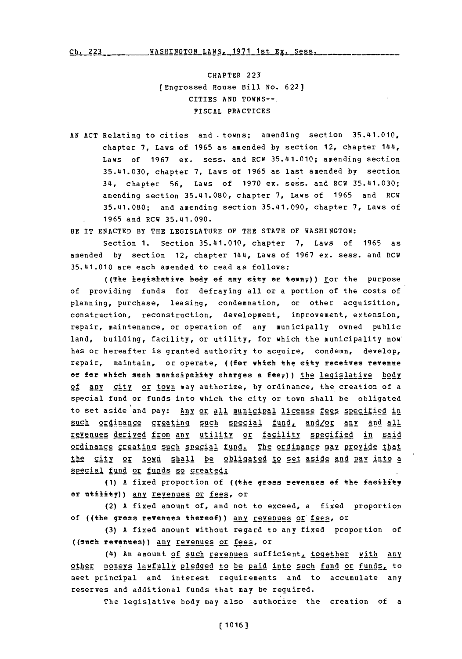Ch. 223WASHINGTON LAWS., **1971** 1st Ex. Sess. **Ch. 223**

CHAPTER **223** [Engrossed House Bill No. **622]** CITIES **AND TOWNS--.** FISCAL PRACTICES

**AN ACT** Relating to cities and -towns; amending section 35.41.010, chapter **7,** Laws of **1965** as amended **by** section 12, chapter 144, Laws of **1967** ex. sess. and RCW 35.41.010; amending section 35.41.030, chapter **7,** Laws of **1965** as last amended **by** section 34, chapter **56,** Laws of **1970** ex. sess. and RCW 35.41.030; amending section 35.41.080, chapter **7,** Laws of **1965** and RCW **35.41.080;** and amending section 35.41.090, chapter **7,** Laws of **1965** and RCW 35.41.090.

BE IT **ENACTED** BY THE **LEGISLATURE** OF THE **STATE** OF WASHINGTON:

Section **1.** Section 35.41.010, chapter **7,** Laws of **1965** as amended **by** section 12, chapter 144, Laws of **1967** ex. sess. and RCW 35.41.010 are each amended to read as follows:

((The legislative body of any city or town;)) For the purpose of providing funds for defraying all or a portion of the costs of planning, purchase, leasing, condemnation, or other acquisition, construction, reconstruction, development, improvement, extension, repair, maintenance, or operation of any municipally owned public land, building, facility, or utility, for which the municipality now' has or hereafter is granted authority to acquire, condemn, develop, repair, maintain, or operate, ((for which the city receives revenue or for which such municipality charges a fee<sub>7</sub>)) the legislative **hody 2f** any city or town may authorize, by ordinance, the creation of a special fund or funds into which the city or town shall be obligated to set aside and pay: Any or all municipal license fees specified in such ordinance creating such special fund, and/or any and all revenues derived from any utility or facility specified in said ordinance creating such special fund. The ordinance may provide that the city or town shall be obligated to set aside and pay into a special fund or funds so created:

**(1) A** fixed proportion of ((the gress revenee *of* the facility or utility) any revenues or fees, or

(2) **A** fixed amount of, and not to exceed, a fixed proportion of ((the gress revenues thereof)) any revenues or fees, or

**(3) A** fixed amount without regard to any fixed proportion of ((such revenues)) any revenues or fees, or

(4) An amount of such revenues sufficient, together with any other moneys lawfully pledged to be paid into such fund or funds, to meet principal and interest requirements and to accumulate any reserves and additional funds that may he required.

The legislative body may also authorize the creation of a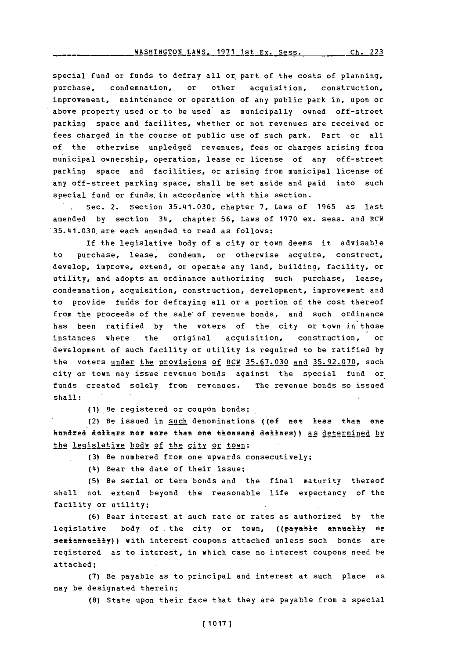special fund or funds to defray all or part of the costs of planning, purchase, condemnation, or other acquisition, construction, improvement, maintenance or operation of any public park in, upon or above property used or to be used as municipally owned off-street parking space and facilites, whether or not revenues are received or fees charged in the course of public use of such park. Part or all of the otherwise unpledged revenues, fees or charges arising from mu nicipal ownership, operation, lease or license of any off-street parking space and facilities, or arising from municipal license of any off-street parking space, shall be set aside and paid into such special fund or funds in accordance with this section.

Sec. 2. Section 35.141.030, chapter **7,** Laws of **1965** as last amended **by** section **314,** chapter **56,** Laws of **1970** ex. sess. and RCW 35.141.030. are each amended to read as follows:

If the legislative body of a city or town deems it advisable to purchase, lease, condemn, or otherwise acquire, construct, develop, improve, extend, or operate any land, building, facility, or utility, and adopts an ordinance authorizing such purchase, lease, condemnation, acquisition, construction, development, improvement and to provide funds for defraying all or a portion of the cost thereof from the proceeds of the sale'of revenue bonds, and such ordinance has been ratified **by** the voters of the city or town in those instances where the original acquisition, construction, or development of such facility or utility is required to be ratified **by** the voters under the Provisions **of** RCW **35.67.030** and **35.92.070,** such city or town may issue revenue bonds against the special fund or funds created solely from revenues. The revenue bonds so issued shall:

(1)\_Be registered or coupon bonds;

(2) Be issued in such denominations ((ef net less than ene hundred dollars ner mere than ene theesea dollars)) as determined **by** the legislative body of the city or town;

**(3)** Be numbered from one upwards consecutively;

**(14)** Bear the date of their issue;

**(5)** Be serial or term bonds and the final maturity thereof shall not extend beyond the reasonable life expectancy of the facility or utility;

**(6)** Bear interest at such rate or rates as authorized **by** the legislative body of the city or town, ((payable **annually or** semiannually)) with interest coupons attached unless such bonds are registered as to interest, in which case no interest coupons need be attached;

**(7)** Be payable as to principal and interest at such place as may be designated therein;

**(8)** State upon their face that they are payable from a special